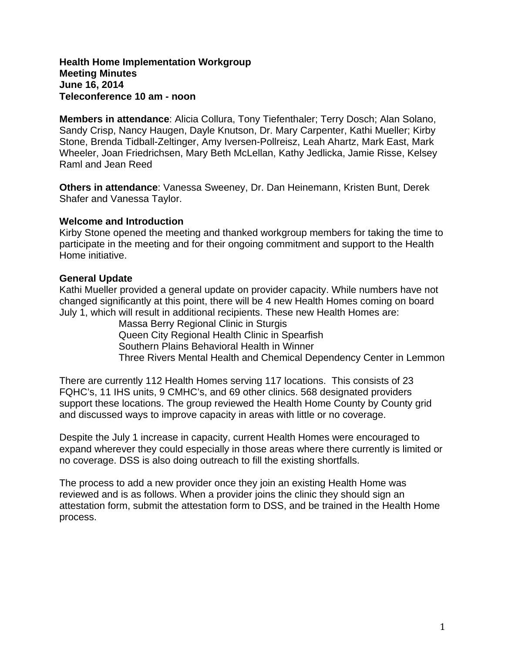#### **Health Home Implementation Workgroup Meeting Minutes June 16, 2014 Teleconference 10 am - noon**

**Members in attendance**: Alicia Collura, Tony Tiefenthaler; Terry Dosch; Alan Solano, Sandy Crisp, Nancy Haugen, Dayle Knutson, Dr. Mary Carpenter, Kathi Mueller; Kirby Stone, Brenda Tidball-Zeltinger, Amy Iversen-Pollreisz, Leah Ahartz, Mark East, Mark Wheeler, Joan Friedrichsen, Mary Beth McLellan, Kathy Jedlicka, Jamie Risse, Kelsey Raml and Jean Reed

**Others in attendance**: Vanessa Sweeney, Dr. Dan Heinemann, Kristen Bunt, Derek Shafer and Vanessa Taylor.

### **Welcome and Introduction**

Kirby Stone opened the meeting and thanked workgroup members for taking the time to participate in the meeting and for their ongoing commitment and support to the Health Home initiative.

## **General Update**

Kathi Mueller provided a general update on provider capacity. While numbers have not changed significantly at this point, there will be 4 new Health Homes coming on board July 1, which will result in additional recipients. These new Health Homes are:

> Massa Berry Regional Clinic in Sturgis Queen City Regional Health Clinic in Spearfish Southern Plains Behavioral Health in Winner Three Rivers Mental Health and Chemical Dependency Center in Lemmon

There are currently 112 Health Homes serving 117 locations. This consists of 23 FQHC's, 11 IHS units, 9 CMHC's, and 69 other clinics. 568 designated providers support these locations. The group reviewed the Health Home County by County grid and discussed ways to improve capacity in areas with little or no coverage.

Despite the July 1 increase in capacity, current Health Homes were encouraged to expand wherever they could especially in those areas where there currently is limited or no coverage. DSS is also doing outreach to fill the existing shortfalls.

The process to add a new provider once they join an existing Health Home was reviewed and is as follows. When a provider joins the clinic they should sign an attestation form, submit the attestation form to DSS, and be trained in the Health Home process.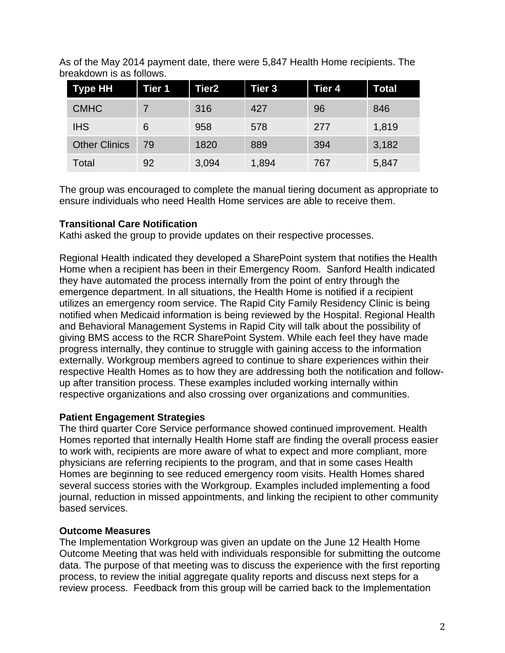As of the May 2014 payment date, there were 5,847 Health Home recipients. The breakdown is as follows.

| <b>Type HH</b>       | Tier 1 | <b>Tier2</b> | Tier 3 | Tier 4 | Total |
|----------------------|--------|--------------|--------|--------|-------|
| <b>CMHC</b>          |        | 316          | 427    | 96     | 846   |
| <b>IHS</b>           | 6      | 958          | 578    | 277    | 1,819 |
| <b>Other Clinics</b> | 79     | 1820         | 889    | 394    | 3,182 |
| Total                | 92     | 3,094        | 1,894  | 767    | 5,847 |

The group was encouraged to complete the manual tiering document as appropriate to ensure individuals who need Health Home services are able to receive them.

# **Transitional Care Notification**

Kathi asked the group to provide updates on their respective processes.

Regional Health indicated they developed a SharePoint system that notifies the Health Home when a recipient has been in their Emergency Room. Sanford Health indicated they have automated the process internally from the point of entry through the emergence department. In all situations, the Health Home is notified if a recipient utilizes an emergency room service. The Rapid City Family Residency Clinic is being notified when Medicaid information is being reviewed by the Hospital. Regional Health and Behavioral Management Systems in Rapid City will talk about the possibility of giving BMS access to the RCR SharePoint System. While each feel they have made progress internally, they continue to struggle with gaining access to the information externally. Workgroup members agreed to continue to share experiences within their respective Health Homes as to how they are addressing both the notification and followup after transition process. These examples included working internally within respective organizations and also crossing over organizations and communities.

## **Patient Engagement Strategies**

The third quarter Core Service performance showed continued improvement. Health Homes reported that internally Health Home staff are finding the overall process easier to work with, recipients are more aware of what to expect and more compliant, more physicians are referring recipients to the program, and that in some cases Health Homes are beginning to see reduced emergency room visits. Health Homes shared several success stories with the Workgroup. Examples included implementing a food journal, reduction in missed appointments, and linking the recipient to other community based services.

# **Outcome Measures**

The Implementation Workgroup was given an update on the June 12 Health Home Outcome Meeting that was held with individuals responsible for submitting the outcome data. The purpose of that meeting was to discuss the experience with the first reporting process, to review the initial aggregate quality reports and discuss next steps for a review process. Feedback from this group will be carried back to the Implementation